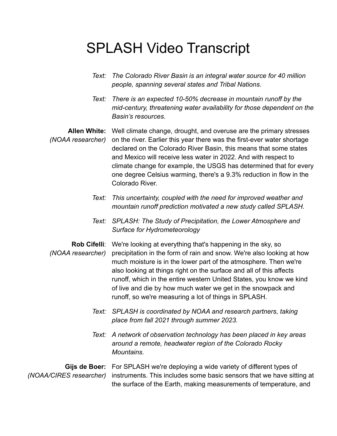## SPLASH Video Transcript

- *Text: The Colorado River Basin is an integral water source for 40 million people, spanning several states and Tribal Nations.*
- *Text: There is an expected 10-50% decrease in mountain runoff by the mid-century, threatening water availability for those dependent on the Basin's resources.*

Allen White: Well climate change, drought, and overuse are the primary stresses *(NOAA researcher)* on the river. Earlier this year there was the first-ever water shortage declared on the Colorado River Basin, this means that some states and Mexico will receive less water in 2022. And with respect to climate change for example, the USGS has determined that for every one degree Celsius warming, there's a 9.3% reduction in flow in the Colorado River.

- *Text: This uncertainty, coupled with the need for improved weather and mountain runoff prediction motivated a new study called SPLASH.*
- *Text: SPLASH: The Study of Precipitation, the Lower Atmosphere and Surface for Hydrometeorology*
- **Rob Cifelli**: We're looking at everything that's happening in the sky, so *(NOAA researcher)* precipitation in the form of rain and snow. We're also looking at how much moisture is in the lower part of the atmosphere. Then we're also looking at things right on the surface and all of this affects runoff, which in the entire western United States, you know we kind of live and die by how much water we get in the snowpack and runoff, so we're measuring a lot of things in SPLASH.
	- *Text: SPLASH is coordinated by NOAA and research partners, taking place from fall 2021 through summer 2023.*
	- *Text: A network of observation technology has been placed in key areas around a remote, headwater region of the Colorado Rocky Mountains.*

**Gijs de Boer:** For SPLASH we're deploying a wide variety of different types of *(NOAA/CIRES researcher)* instruments. This includes some basic sensors that we have sitting at the surface of the Earth, making measurements of temperature, and